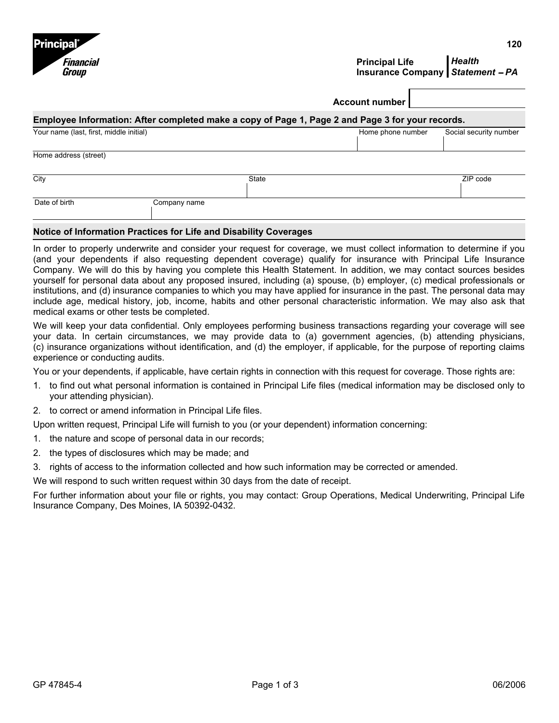



## **Principal Life Insurance Company**  *Statement* − *PA Health*

|                                                                                                  |              | <b>Account number</b> |                        |  |  |  |  |
|--------------------------------------------------------------------------------------------------|--------------|-----------------------|------------------------|--|--|--|--|
| Employee Information: After completed make a copy of Page 1, Page 2 and Page 3 for your records. |              |                       |                        |  |  |  |  |
| Your name (last, first, middle initial)                                                          |              | Home phone number     | Social security number |  |  |  |  |
| Home address (street)                                                                            |              |                       |                        |  |  |  |  |
| City                                                                                             | State        |                       | ZIP code               |  |  |  |  |
| Date of birth                                                                                    | Company name |                       |                        |  |  |  |  |

## **Notice of Information Practices for Life and Disability Coverages**

In order to properly underwrite and consider your request for coverage, we must collect information to determine if you (and your dependents if also requesting dependent coverage) qualify for insurance with Principal Life Insurance Company. We will do this by having you complete this Health Statement. In addition, we may contact sources besides yourself for personal data about any proposed insured, including (a) spouse, (b) employer, (c) medical professionals or institutions, and (d) insurance companies to which you may have applied for insurance in the past. The personal data may include age, medical history, job, income, habits and other personal characteristic information. We may also ask that medical exams or other tests be completed.

We will keep your data confidential. Only employees performing business transactions regarding your coverage will see your data. In certain circumstances, we may provide data to (a) government agencies, (b) attending physicians, (c) insurance organizations without identification, and (d) the employer, if applicable, for the purpose of reporting claims experience or conducting audits.

You or your dependents, if applicable, have certain rights in connection with this request for coverage. Those rights are:

- 1. to find out what personal information is contained in Principal Life files (medical information may be disclosed only to your attending physician).
- 2. to correct or amend information in Principal Life files.

Upon written request, Principal Life will furnish to you (or your dependent) information concerning:

- 1. the nature and scope of personal data in our records;
- 2. the types of disclosures which may be made; and
- 3. rights of access to the information collected and how such information may be corrected or amended.

We will respond to such written request within 30 days from the date of receipt.

For further information about your file or rights, you may contact: Group Operations, Medical Underwriting, Principal Life Insurance Company, Des Moines, IA 50392-0432.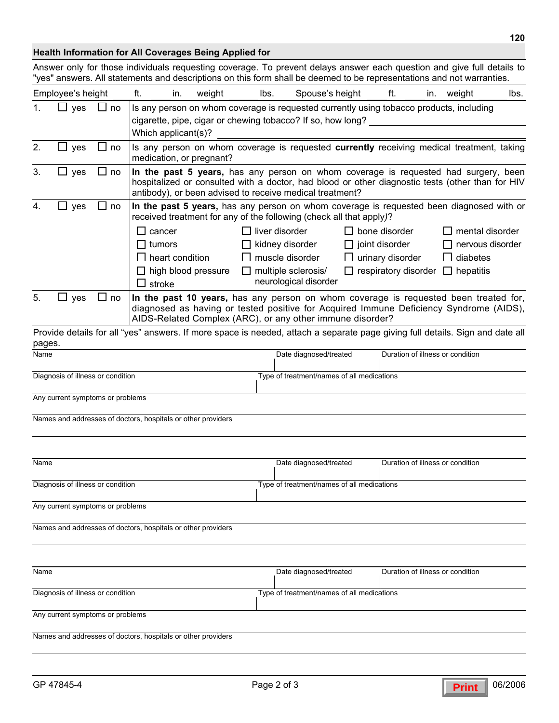## **Health Information for All Coverages Being Applied for**

Answer only for those individuals requesting coverage. To prevent delays answer each question and give full details to "yes" answers. All statements and descriptions on this form shall be deemed to be representations and not warranties.

|                                   | Employee's height                 |             | ft.<br>in.                                                                                                                                                                                                                                          | weight                                     | lbs.   | Spouse's height                              |  | ft.                         | in. | weight                           | lbs. |
|-----------------------------------|-----------------------------------|-------------|-----------------------------------------------------------------------------------------------------------------------------------------------------------------------------------------------------------------------------------------------------|--------------------------------------------|--------|----------------------------------------------|--|-----------------------------|-----|----------------------------------|------|
|                                   | yes                               | $\sqcup$ no | Is any person on whom coverage is requested currently using tobacco products, including                                                                                                                                                             |                                            |        |                                              |  |                             |     |                                  |      |
|                                   |                                   |             | cigarette, pipe, cigar or chewing tobacco? If so, how long?<br>Which applicant(s)?                                                                                                                                                                  |                                            |        |                                              |  |                             |     |                                  |      |
| 2.                                | yes                               | $\sqcup$ no | Is any person on whom coverage is requested currently receiving medical treatment, taking<br>medication, or pregnant?                                                                                                                               |                                            |        |                                              |  |                             |     |                                  |      |
| 3.                                | $\square$ yes                     | $\sqcup$ no | In the past 5 years, has any person on whom coverage is requested had surgery, been<br>hospitalized or consulted with a doctor, had blood or other diagnostic tests (other than for HIV<br>antibody), or been advised to receive medical treatment? |                                            |        |                                              |  |                             |     |                                  |      |
| 4.                                | yes                               | $\sqcup$ no | In the past 5 years, has any person on whom coverage is requested been diagnosed with or<br>received treatment for any of the following (check all that apply)?                                                                                     |                                            |        |                                              |  |                             |     |                                  |      |
|                                   |                                   |             | cancer<br>ΙI                                                                                                                                                                                                                                        |                                            |        | liver disorder                               |  | $\Box$ bone disorder        |     | $\square$ mental disorder        |      |
|                                   |                                   |             | tumors<br>ΙI                                                                                                                                                                                                                                        |                                            |        | kidney disorder                              |  | $\Box$ joint disorder       |     | $\Box$ nervous disorder          |      |
|                                   |                                   |             | $\Box$ heart condition                                                                                                                                                                                                                              |                                            |        | muscle disorder                              |  | $\Box$ urinary disorder     |     | $\Box$ diabetes                  |      |
|                                   |                                   |             | $\Box$ high blood pressure<br>stroke                                                                                                                                                                                                                |                                            | $\Box$ | multiple sclerosis/<br>neurological disorder |  | $\Box$ respiratory disorder |     | $\Box$ hepatitis                 |      |
| 5.                                | $\sqcup$ yes                      | $\sqcup$ no | In the past 10 years, has any person on whom coverage is requested been treated for,<br>diagnosed as having or tested positive for Acquired Immune Deficiency Syndrome (AIDS),<br>AIDS-Related Complex (ARC), or any other immune disorder?         |                                            |        |                                              |  |                             |     |                                  |      |
|                                   |                                   |             | Provide details for all "yes" answers. If more space is needed, attach a separate page giving full details. Sign and date all                                                                                                                       |                                            |        |                                              |  |                             |     |                                  |      |
| pages.<br>Name                    |                                   |             |                                                                                                                                                                                                                                                     |                                            |        | Date diagnosed/treated                       |  |                             |     | Duration of illness or condition |      |
|                                   | Diagnosis of illness or condition |             |                                                                                                                                                                                                                                                     |                                            |        | Type of treatment/names of all medications   |  |                             |     |                                  |      |
|                                   |                                   |             |                                                                                                                                                                                                                                                     |                                            |        |                                              |  |                             |     |                                  |      |
|                                   | Any current symptoms or problems  |             |                                                                                                                                                                                                                                                     |                                            |        |                                              |  |                             |     |                                  |      |
|                                   |                                   |             | Names and addresses of doctors, hospitals or other providers                                                                                                                                                                                        |                                            |        |                                              |  |                             |     |                                  |      |
|                                   |                                   |             |                                                                                                                                                                                                                                                     |                                            |        |                                              |  |                             |     |                                  |      |
| Name                              |                                   |             |                                                                                                                                                                                                                                                     |                                            |        | Date diagnosed/treated                       |  |                             |     | Duration of illness or condition |      |
| Diagnosis of illness or condition |                                   |             |                                                                                                                                                                                                                                                     | Type of treatment/names of all medications |        |                                              |  |                             |     |                                  |      |
|                                   | Any current symptoms or problems  |             |                                                                                                                                                                                                                                                     |                                            |        |                                              |  |                             |     |                                  |      |
|                                   |                                   |             | Names and addresses of doctors, hospitals or other providers                                                                                                                                                                                        |                                            |        |                                              |  |                             |     |                                  |      |
|                                   |                                   |             |                                                                                                                                                                                                                                                     |                                            |        |                                              |  |                             |     |                                  |      |
|                                   |                                   |             |                                                                                                                                                                                                                                                     |                                            |        |                                              |  |                             |     |                                  |      |
| Name                              |                                   |             |                                                                                                                                                                                                                                                     |                                            |        | Date diagnosed/treated                       |  |                             |     | Duration of illness or condition |      |
|                                   | Diagnosis of illness or condition |             |                                                                                                                                                                                                                                                     |                                            |        | Type of treatment/names of all medications   |  |                             |     |                                  |      |
|                                   | Any current symptoms or problems  |             |                                                                                                                                                                                                                                                     |                                            |        |                                              |  |                             |     |                                  |      |
|                                   |                                   |             | Names and addresses of doctors, hospitals or other providers                                                                                                                                                                                        |                                            |        |                                              |  |                             |     |                                  |      |
|                                   |                                   |             |                                                                                                                                                                                                                                                     |                                            |        |                                              |  |                             |     |                                  |      |